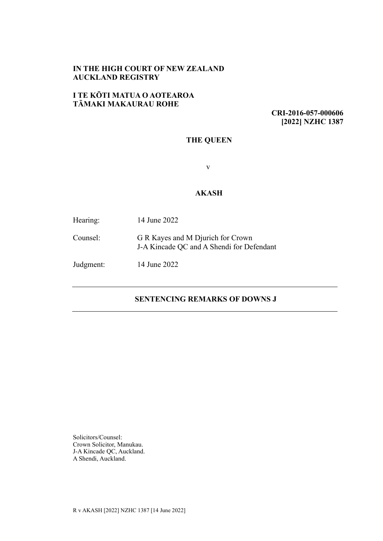## **IN THE HIGH COURT OF NEW ZEALAND AUCKLAND REGISTRY**

## **I TE KŌTI MATUA O AOTEAROA TĀMAKI MAKAURAU ROHE**

**CRI-2016-057-000606 [2022] NZHC 1387**

# **THE QUEEN**

v

## **AKASH**

| Hearing:  | 14 June 2022                                                                   |
|-----------|--------------------------------------------------------------------------------|
| Counsel:  | G R Kayes and M Djurich for Crown<br>J-A Kincade QC and A Shendi for Defendant |
| Judgment: | 14 June 2022                                                                   |

# **SENTENCING REMARKS OF DOWNS J**

Solicitors/Counsel: Crown Solicitor, Manukau. J-A Kincade QC, Auckland. A Shendi, Auckland.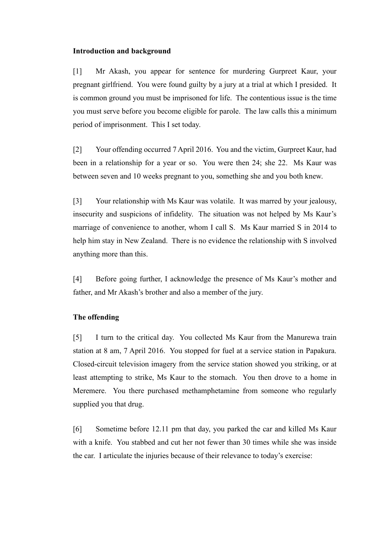#### **Introduction and background**

[1] Mr Akash, you appear for sentence for murdering Gurpreet Kaur, your pregnant girlfriend. You were found guilty by a jury at a trial at which I presided. It is common ground you must be imprisoned for life. The contentious issue is the time you must serve before you become eligible for parole. The law calls this a minimum period of imprisonment. This I set today.

[2] Your offending occurred 7 April 2016. You and the victim, Gurpreet Kaur, had been in a relationship for a year or so. You were then 24; she 22. Ms Kaur was between seven and 10 weeks pregnant to you, something she and you both knew.

[3] Your relationship with Ms Kaur was volatile. It was marred by your jealousy, insecurity and suspicions of infidelity. The situation was not helped by Ms Kaur's marriage of convenience to another, whom I call S. Ms Kaur married S in 2014 to help him stay in New Zealand. There is no evidence the relationship with S involved anything more than this.

[4] Before going further, I acknowledge the presence of Ms Kaur's mother and father, and Mr Akash's brother and also a member of the jury.

#### **The offending**

[5] I turn to the critical day. You collected Ms Kaur from the Manurewa train station at 8 am, 7 April 2016. You stopped for fuel at a service station in Papakura. Closed-circuit television imagery from the service station showed you striking, or at least attempting to strike, Ms Kaur to the stomach. You then drove to a home in Meremere. You there purchased methamphetamine from someone who regularly supplied you that drug.

[6] Sometime before 12.11 pm that day, you parked the car and killed Ms Kaur with a knife. You stabbed and cut her not fewer than 30 times while she was inside the car. I articulate the injuries because of their relevance to today's exercise: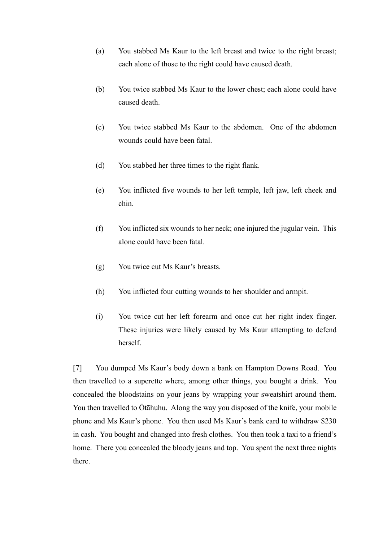- (a) You stabbed Ms Kaur to the left breast and twice to the right breast; each alone of those to the right could have caused death.
- (b) You twice stabbed Ms Kaur to the lower chest; each alone could have caused death.
- (c) You twice stabbed Ms Kaur to the abdomen. One of the abdomen wounds could have been fatal.
- (d) You stabbed her three times to the right flank.
- (e) You inflicted five wounds to her left temple, left jaw, left cheek and chin.
- (f) You inflicted six wounds to her neck; one injured the jugular vein. This alone could have been fatal.
- (g) You twice cut Ms Kaur's breasts.
- (h) You inflicted four cutting wounds to her shoulder and armpit.
- (i) You twice cut her left forearm and once cut her right index finger. These injuries were likely caused by Ms Kaur attempting to defend herself.

[7] You dumped Ms Kaur's body down a bank on Hampton Downs Road. You then travelled to a superette where, among other things, you bought a drink. You concealed the bloodstains on your jeans by wrapping your sweatshirt around them. You then travelled to Ōtāhuhu. Along the way you disposed of the knife, your mobile phone and Ms Kaur's phone. You then used Ms Kaur's bank card to withdraw \$230 in cash. You bought and changed into fresh clothes. You then took a taxi to a friend's home. There you concealed the bloody jeans and top. You spent the next three nights there.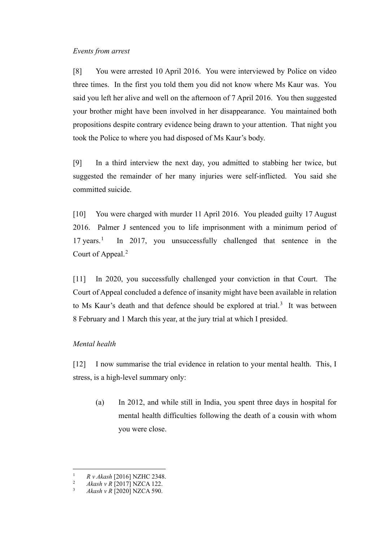#### *Events from arrest*

[8] You were arrested 10 April 2016. You were interviewed by Police on video three times. In the first you told them you did not know where Ms Kaur was. You said you left her alive and well on the afternoon of 7 April 2016. You then suggested your brother might have been involved in her disappearance. You maintained both propositions despite contrary evidence being drawn to your attention. That night you took the Police to where you had disposed of Ms Kaur's body.

[9] In a third interview the next day, you admitted to stabbing her twice, but suggested the remainder of her many injuries were self-inflicted. You said she committed suicide.

[10] You were charged with murder 11 April 2016. You pleaded guilty 17 August 2016. Palmer J sentenced you to life imprisonment with a minimum period of  $17$  $17$  years.<sup>1</sup> In 2017, you unsuccessfully challenged that sentence in the Court of Appeal.<sup>[2](#page-3-1)</sup>

[11] In 2020, you successfully challenged your conviction in that Court. The Court of Appeal concluded a defence of insanity might have been available in relation to Ms Kaur's death and that defence should be explored at trial.<sup>[3](#page-3-2)</sup> It was between 8 February and 1 March this year, at the jury trial at which I presided.

#### *Mental health*

[12] I now summarise the trial evidence in relation to your mental health. This, I stress, is a high-level summary only:

(a) In 2012, and while still in India, you spent three days in hospital for mental health difficulties following the death of a cousin with whom you were close.

<span id="page-3-1"></span><span id="page-3-0"></span><sup>&</sup>lt;sup>1</sup> *R v Akash* [2016] NZHC 2348.

<span id="page-3-2"></span><sup>&</sup>lt;sup>2</sup> *Akash v R* [2017] NZCA 122.

<sup>3</sup> *Akash v R* [2020] NZCA 590.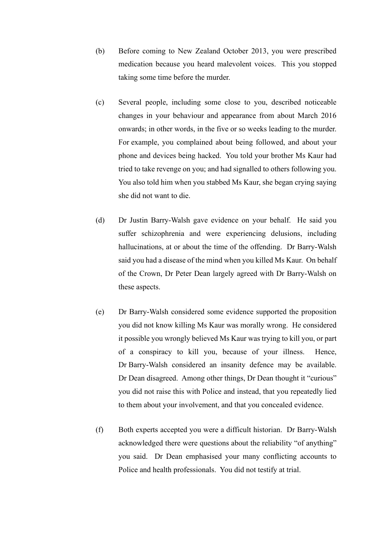- (b) Before coming to New Zealand October 2013, you were prescribed medication because you heard malevolent voices. This you stopped taking some time before the murder.
- (c) Several people, including some close to you, described noticeable changes in your behaviour and appearance from about March 2016 onwards; in other words, in the five or so weeks leading to the murder. For example, you complained about being followed, and about your phone and devices being hacked. You told your brother Ms Kaur had tried to take revenge on you; and had signalled to others following you. You also told him when you stabbed Ms Kaur, she began crying saying she did not want to die.
- (d) Dr Justin Barry-Walsh gave evidence on your behalf. He said you suffer schizophrenia and were experiencing delusions, including hallucinations, at or about the time of the offending. Dr Barry-Walsh said you had a disease of the mind when you killed Ms Kaur. On behalf of the Crown, Dr Peter Dean largely agreed with Dr Barry-Walsh on these aspects.
- (e) Dr Barry-Walsh considered some evidence supported the proposition you did not know killing Ms Kaur was morally wrong. He considered it possible you wrongly believed Ms Kaur was trying to kill you, or part of a conspiracy to kill you, because of your illness. Hence, Dr Barry-Walsh considered an insanity defence may be available. Dr Dean disagreed. Among other things, Dr Dean thought it "curious" you did not raise this with Police and instead, that you repeatedly lied to them about your involvement, and that you concealed evidence.
- (f) Both experts accepted you were a difficult historian. Dr Barry-Walsh acknowledged there were questions about the reliability "of anything" you said. Dr Dean emphasised your many conflicting accounts to Police and health professionals. You did not testify at trial.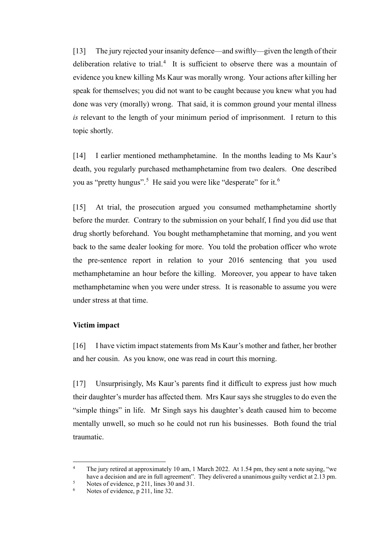[13] The jury rejected your insanity defence—and swiftly—given the length of their deliberation relative to trial.<sup>[4](#page-5-0)</sup> It is sufficient to observe there was a mountain of evidence you knew killing Ms Kaur was morally wrong. Your actions after killing her speak for themselves; you did not want to be caught because you knew what you had done was very (morally) wrong. That said, it is common ground your mental illness *is* relevant to the length of your minimum period of imprisonment. I return to this topic shortly.

[14] I earlier mentioned methamphetamine. In the months leading to Ms Kaur's death, you regularly purchased methamphetamine from two dealers. One described you as "pretty hungus".<sup>[5](#page-5-1)</sup> He said you were like "desperate" for it.<sup>[6](#page-5-2)</sup>

[15] At trial, the prosecution argued you consumed methamphetamine shortly before the murder. Contrary to the submission on your behalf, I find you did use that drug shortly beforehand. You bought methamphetamine that morning, and you went back to the same dealer looking for more. You told the probation officer who wrote the pre-sentence report in relation to your 2016 sentencing that you used methamphetamine an hour before the killing. Moreover, you appear to have taken methamphetamine when you were under stress. It is reasonable to assume you were under stress at that time.

#### **Victim impact**

[16] I have victim impact statements from Ms Kaur's mother and father, her brother and her cousin. As you know, one was read in court this morning.

[17] Unsurprisingly, Ms Kaur's parents find it difficult to express just how much their daughter's murder has affected them. Mrs Kaur says she struggles to do even the "simple things" in life. Mr Singh says his daughter's death caused him to become mentally unwell, so much so he could not run his businesses. Both found the trial traumatic.

<span id="page-5-0"></span><sup>&</sup>lt;sup>4</sup> The jury retired at approximately 10 am, 1 March 2022. At 1.54 pm, they sent a note saying, "we have a decision and are in full agreement". They delivered a unanimous guilty verdict at 2.13 pm.

<span id="page-5-2"></span><span id="page-5-1"></span><sup>&</sup>lt;sup>5</sup> Notes of evidence, p 211, lines 30 and 31.<br><sup>6</sup> Notes of evidence, p 211, line 32.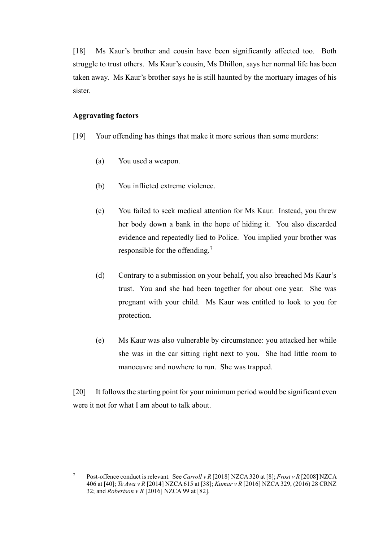[18] Ms Kaur's brother and cousin have been significantly affected too. Both struggle to trust others. Ms Kaur's cousin, Ms Dhillon, says her normal life has been taken away. Ms Kaur's brother says he is still haunted by the mortuary images of his sister.

#### **Aggravating factors**

- [19] Your offending has things that make it more serious than some murders:
	- (a) You used a weapon.
	- (b) You inflicted extreme violence.
	- (c) You failed to seek medical attention for Ms Kaur. Instead, you threw her body down a bank in the hope of hiding it. You also discarded evidence and repeatedly lied to Police. You implied your brother was responsible for the offending.[7](#page-6-0)
	- (d) Contrary to a submission on your behalf, you also breached Ms Kaur's trust. You and she had been together for about one year. She was pregnant with your child. Ms Kaur was entitled to look to you for protection.
	- (e) Ms Kaur was also vulnerable by circumstance: you attacked her while she was in the car sitting right next to you. She had little room to manoeuvre and nowhere to run. She was trapped.

[20] It follows the starting point for your minimum period would be significant even were it not for what I am about to talk about.

<span id="page-6-0"></span><sup>7</sup> Post-offence conduct is relevant. See *Carroll v R* [2018] NZCA 320 at [8]; *Frost v R* [2008] NZCA 406 at [40]; *Te Awa v R* [2014] NZCA 615 at [38]; *Kumar v R* [2016] NZCA 329, (2016) 28 CRNZ 32; and *Robertson v R* [2016] NZCA 99 at [82].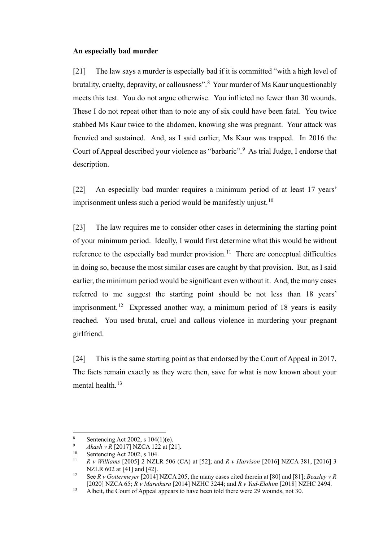#### **An especially bad murder**

[21] The law says a murder is especially bad if it is committed "with a high level of brutality, cruelty, depravity, or callousness".<sup>[8](#page-7-0)</sup> Your murder of Ms Kaur unquestionably meets this test. You do not argue otherwise. You inflicted no fewer than 30 wounds. These I do not repeat other than to note any of six could have been fatal. You twice stabbed Ms Kaur twice to the abdomen, knowing she was pregnant. Your attack was frenzied and sustained. And, as I said earlier, Ms Kaur was trapped. In 2016 the Court of Appeal described your violence as "barbaric".<sup>[9](#page-7-1)</sup> As trial Judge, I endorse that description.

[22] An especially bad murder requires a minimum period of at least 17 years' imprisonment unless such a period would be manifestly unjust.<sup>[10](#page-7-2)</sup>

[23] The law requires me to consider other cases in determining the starting point of your minimum period. Ideally, I would first determine what this would be without reference to the especially bad murder provision.<sup>11</sup> There are conceptual difficulties in doing so, because the most similar cases are caught by that provision. But, as I said earlier, the minimum period would be significant even without it. And, the many cases referred to me suggest the starting point should be not less than 18 years' imprisonment.<sup>12</sup> Expressed another way, a minimum period of 18 years is easily reached. You used brutal, cruel and callous violence in murdering your pregnant girlfriend.

[24] This is the same starting point as that endorsed by the Court of Appeal in 2017. The facts remain exactly as they were then, save for what is now known about your mental health. $13$ 

<span id="page-7-1"></span><span id="page-7-0"></span><sup>8</sup> Sentencing Act 2002, s 104(1)(e).<br> *Akash v R* [2017] NZCA 122 at [21].<br>
Sentencing Act 2002 s 104

<span id="page-7-2"></span><sup>&</sup>lt;sup>10</sup> Sentencing Act 2002, s 104.<br><sup>11</sup> *P y Williams* [2005] 2 NZI

<span id="page-7-3"></span><sup>11</sup> *R v Williams* [2005] 2 NZLR 506 (CA) at [52]; and *R v Harrison* [2016] NZCA 381, [2016] 3 NZLR 602 at [41] and [42].

<span id="page-7-4"></span><sup>12</sup> See *R v Gottermeyer* [2014] NZCA 205, the many cases cited therein at [80] and [81]; *Beazley v R*  [2020] NZCA 65; *R v Mareikura* [2014] NZHC 3244; and *R v Yad-Elohim* [2018] NZHC 2494.

<span id="page-7-5"></span><sup>&</sup>lt;sup>13</sup> Albeit, the Court of Appeal appears to have been told there were 29 wounds, not 30.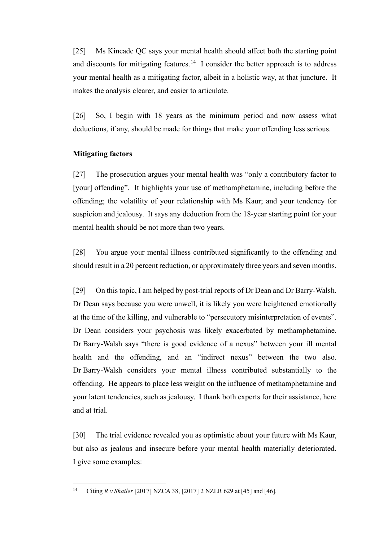[25] Ms Kincade QC says your mental health should affect both the starting point and discounts for mitigating features.<sup>14</sup> I consider the better approach is to address your mental health as a mitigating factor, albeit in a holistic way, at that juncture. It makes the analysis clearer, and easier to articulate.

[26] So, I begin with 18 years as the minimum period and now assess what deductions, if any, should be made for things that make your offending less serious.

#### **Mitigating factors**

[27] The prosecution argues your mental health was "only a contributory factor to [your] offending". It highlights your use of methamphetamine, including before the offending; the volatility of your relationship with Ms Kaur; and your tendency for suspicion and jealousy. It says any deduction from the 18-year starting point for your mental health should be not more than two years.

[28] You argue your mental illness contributed significantly to the offending and should result in a 20 percent reduction, or approximately three years and seven months.

[29] On this topic, I am helped by post-trial reports of Dr Dean and Dr Barry-Walsh. Dr Dean says because you were unwell, it is likely you were heightened emotionally at the time of the killing, and vulnerable to "persecutory misinterpretation of events". Dr Dean considers your psychosis was likely exacerbated by methamphetamine. Dr Barry-Walsh says "there is good evidence of a nexus" between your ill mental health and the offending, and an "indirect nexus" between the two also. Dr Barry-Walsh considers your mental illness contributed substantially to the offending. He appears to place less weight on the influence of methamphetamine and your latent tendencies, such as jealousy. I thank both experts for their assistance, here and at trial.

[30] The trial evidence revealed you as optimistic about your future with Ms Kaur, but also as jealous and insecure before your mental health materially deteriorated. I give some examples:

<span id="page-8-0"></span><sup>14</sup> Citing *R v Shailer* [2017] NZCA 38, [2017] 2 NZLR 629 at [45] and [46].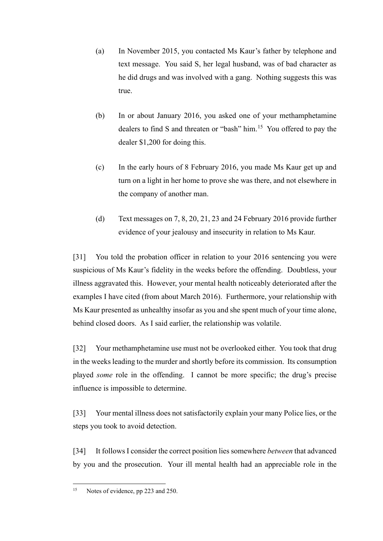- (a) In November 2015, you contacted Ms Kaur's father by telephone and text message. You said S, her legal husband, was of bad character as he did drugs and was involved with a gang. Nothing suggests this was true.
- (b) In or about January 2016, you asked one of your methamphetamine dealers to find S and threaten or "bash" him.[15](#page-9-0) You offered to pay the dealer \$1,200 for doing this.
- (c) In the early hours of 8 February 2016, you made Ms Kaur get up and turn on a light in her home to prove she was there, and not elsewhere in the company of another man.
- (d) Text messages on 7, 8, 20, 21, 23 and 24 February 2016 provide further evidence of your jealousy and insecurity in relation to Ms Kaur.

[31] You told the probation officer in relation to your 2016 sentencing you were suspicious of Ms Kaur's fidelity in the weeks before the offending. Doubtless, your illness aggravated this. However, your mental health noticeably deteriorated after the examples I have cited (from about March 2016). Furthermore, your relationship with Ms Kaur presented as unhealthy insofar as you and she spent much of your time alone, behind closed doors. As I said earlier, the relationship was volatile.

[32] Your methamphetamine use must not be overlooked either. You took that drug in the weeks leading to the murder and shortly before its commission. Its consumption played *some* role in the offending. I cannot be more specific; the drug's precise influence is impossible to determine.

[33] Your mental illness does not satisfactorily explain your many Police lies, or the steps you took to avoid detection.

[34] It follows I consider the correct position lies somewhere *between* that advanced by you and the prosecution. Your ill mental health had an appreciable role in the

<span id="page-9-0"></span><sup>&</sup>lt;sup>15</sup> Notes of evidence, pp 223 and 250.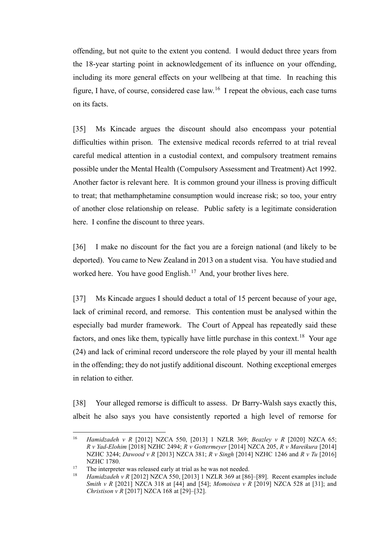offending, but not quite to the extent you contend. I would deduct three years from the 18-year starting point in acknowledgement of its influence on your offending, including its more general effects on your wellbeing at that time. In reaching this figure, I have, of course, considered case law.[16](#page-10-0) I repeat the obvious, each case turns on its facts.

[35] Ms Kincade argues the discount should also encompass your potential difficulties within prison. The extensive medical records referred to at trial reveal careful medical attention in a custodial context, and compulsory treatment remains possible under the Mental Health (Compulsory Assessment and Treatment) Act 1992. Another factor is relevant here. It is common ground your illness is proving difficult to treat; that methamphetamine consumption would increase risk; so too, your entry of another close relationship on release. Public safety is a legitimate consideration here. I confine the discount to three years.

[36] I make no discount for the fact you are a foreign national (and likely to be deported). You came to New Zealand in 2013 on a student visa. You have studied and worked here. You have good English.<sup>[17](#page-10-1)</sup> And, your brother lives here.

[37] Ms Kincade argues I should deduct a total of 15 percent because of your age, lack of criminal record, and remorse. This contention must be analysed within the especially bad murder framework. The Court of Appeal has repeatedly said these factors, and ones like them, typically have little purchase in this context.<sup>18</sup> Your age (24) and lack of criminal record underscore the role played by your ill mental health in the offending; they do not justify additional discount. Nothing exceptional emerges in relation to either.

[38] Your alleged remorse is difficult to assess. Dr Barry-Walsh says exactly this, albeit he also says you have consistently reported a high level of remorse for

<span id="page-10-0"></span><sup>16</sup> *Hamidzadeh v R* [2012] NZCA 550, [2013] 1 NZLR 369; *Beazley v R* [2020] NZCA 65; *R v Yad-Elohim* [2018] NZHC 2494; *R v Gottermeyer* [2014] NZCA 205, *R v Mareikura* [2014] NZHC 3244; *Dawood v R* [2013] NZCA 381; *R v Singh* [2014] NZHC 1246 and *R v Tu* [2016] NZHC 1780.<br>The interpreter was released early at trial as he was not needed.

<span id="page-10-2"></span><span id="page-10-1"></span><sup>17</sup> The interpreter was released early at trial as he was not needed. 18 *Hamidzadeh v R* [2012] NZCA 550, [2013] 1 NZLR 369 at [86]–[89]. Recent examples include *Smith v R* [2021] NZCA 318 at [44] and [54]; *Momoisea v R* [2019] NZCA 528 at [31]; and *Christison v R* [2017] NZCA 168 at [29]–[32].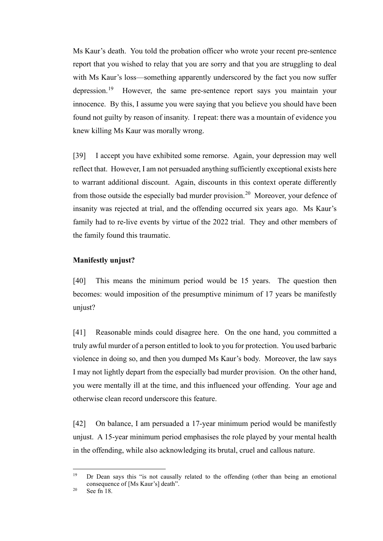Ms Kaur's death. You told the probation officer who wrote your recent pre-sentence report that you wished to relay that you are sorry and that you are struggling to deal with Ms Kaur's loss—something apparently underscored by the fact you now suffer depression.[19](#page-11-0) However, the same pre-sentence report says you maintain your innocence. By this, I assume you were saying that you believe you should have been found not guilty by reason of insanity. I repeat: there was a mountain of evidence you knew killing Ms Kaur was morally wrong.

[39] I accept you have exhibited some remorse. Again, your depression may well reflect that. However, I am not persuaded anything sufficiently exceptional exists here to warrant additional discount. Again, discounts in this context operate differently from those outside the especially bad murder provision.<sup>[20](#page-11-1)</sup> Moreover, your defence of insanity was rejected at trial, and the offending occurred six years ago. Ms Kaur's family had to re-live events by virtue of the 2022 trial. They and other members of the family found this traumatic.

#### **Manifestly unjust?**

[40] This means the minimum period would be 15 years. The question then becomes: would imposition of the presumptive minimum of 17 years be manifestly unjust?

[41] Reasonable minds could disagree here. On the one hand, you committed a truly awful murder of a person entitled to look to you for protection. You used barbaric violence in doing so, and then you dumped Ms Kaur's body. Moreover, the law says I may not lightly depart from the especially bad murder provision. On the other hand, you were mentally ill at the time, and this influenced your offending. Your age and otherwise clean record underscore this feature.

[42] On balance, I am persuaded a 17-year minimum period would be manifestly unjust. A 15-year minimum period emphasises the role played by your mental health in the offending, while also acknowledging its brutal, cruel and callous nature.

<span id="page-11-0"></span><sup>&</sup>lt;sup>19</sup> Dr Dean says this "is not causally related to the offending (other than being an emotional consequence of [Ms Kaur's] death".

<span id="page-11-1"></span> $20$  See fn 18.